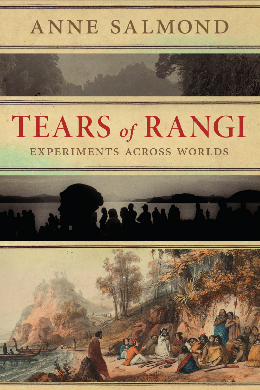## ANNE SALMOND

# **TEARS of RANGI** EXPERIMENTS ACROSS WORLDS



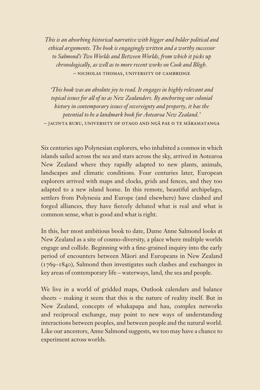*This is an absorbing historical narrative with bigger and bolder political and ethical arguments. The book is engagingly written and a worthy successor to Salmond's Two Worlds and Between Worlds, from which it picks up chronologically, as well as to more recent works on Cook and Bligh.* – Nicholas Thomas, University of Cambridge

*'This book was an absolute joy to read. It engages in highly relevant and topical issues for all of us as New Zealanders. By anchoring our colonial history in contemporary issues of sovereignty and property, it has the potential to be a landmark book for Aotearoa New Zealand.'*  – Jacinta Ruru, University of Otago and Ngā Pae o te Māramatanga

Six centuries ago Polynesian explorers, who inhabited a cosmos in which islands sailed across the sea and stars across the sky, arrived in Aotearoa New Zealand where they rapidly adapted to new plants, animals, landscapes and climatic conditions. Four centuries later, European explorers arrived with maps and clocks, grids and fences, and they too adapted to a new island home. In this remote, beautiful archipelago, settlers from Polynesia and Europe (and elsewhere) have clashed and forged alliances, they have fiercely debated what is real and what is common sense, what is good and what is right.

In this, her most ambitious book to date, Dame Anne Salmond looks at New Zealand as a site of cosmo-diversity, a place where multiple worlds engage and collide. Beginning with a fine-grained inquiry into the early period of encounters between Māori and Europeans in New Zealand (1769–1840), Salmond then investigates such clashes and exchanges in key areas of contemporary life – waterways, land, the sea and people.

We live in a world of gridded maps, Outlook calendars and balance sheets – making it seem that this is the nature of reality itself. But in New Zealand, concepts of whakapapa and hau, complex networks and reciprocal exchange, may point to new ways of understanding interactions between peoples, and between people and the natural world. Like our ancestors, Anne Salmond suggests, we too may have a chance to experiment across worlds.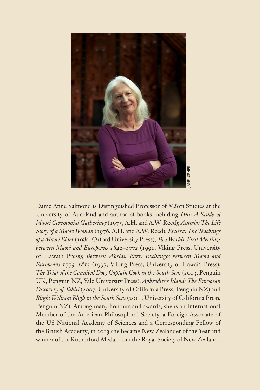

Dame Anne Salmond is Distinguished Professor of Māori Studies at the University of Auckland and author of books including *Hui: A Study of Maori Ceremonial Gatherings* (1975, A.H. and A.W. Reed); *Amiria: The Life Story of a Maori Woman* (1976, A.H. and A.W. Reed); *Eruera: The Teachings of a Maori Elder* (1980, Oxford University Press); *Two Worlds: First Meetings between Maori and Europeans 1642–1772* (1991, Viking Press, University of Hawai'i Press); *Between Worlds: Early Exchanges between Maori and Europeans 1773–1815* (1997, Viking Press, University of Hawai'i Press); *The Trial of the Cannibal Dog: Captain Cook in the South Seas* (2003, Penguin UK, Penguin NZ, Yale University Press); *Aphrodite's Island: The European Discovery of Tahiti* (2007, University of California Press, Penguin NZ) and *Bligh: William Bligh in the South Seas* (2011, University of California Press, Penguin NZ). Among many honours and awards, she is an International Member of the American Philosophical Society, a Foreign Associate of the US National Academy of Sciences and a Corresponding Fellow of the British Academy; in 2013 she became New Zealander of the Year and Banne Anne Salmond is Distinguished Professor of Maori Studies at the University of Auckland and author of books including *Hui: A Study of a Maori Woman* (1976, A.H. and A.W. Reed); *Amiria: The Lifty of a Maori Woman* (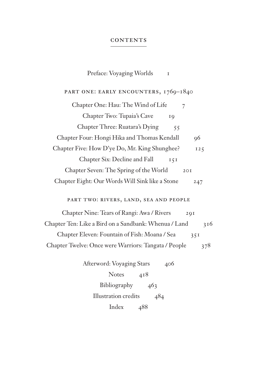#### **CONTENTS**

| Preface: Voyaging Worlds<br>1                                |  |
|--------------------------------------------------------------|--|
| PART ONE: EARLY ENCOUNTERS, 1769-1840                        |  |
| Chapter One: Hau: The Wind of Life<br>7                      |  |
| Chapter Two: Tupaia's Cave<br>IQ                             |  |
| Chapter Three: Ruatara's Dying<br>55                         |  |
| Chapter Four: Hongi Hika and Thomas Kendall<br>96            |  |
| Chapter Five: How D'ye Do, Mr. King Shunghee?<br>125         |  |
| Chapter Six: Decline and Fall<br>$I \, \zeta I$              |  |
| Chapter Seven: The Spring of the World<br>2OI                |  |
| Chapter Eight: Our Words Will Sink like a Stone<br>247       |  |
| PART TWO: RIVERS, LAND, SEA AND PEOPLE                       |  |
| Chapter Nine: Tears of Rangi: Awa / Rivers<br>20I            |  |
| Chapter Ten: Like a Bird on a Sandbank: Whenua / Land<br>316 |  |
| Chapter Eleven: Fountain of Fish: Moana / Sea<br>35I         |  |
| Chapter Twelve: Once were Warriors: Tangata / People<br>378  |  |
| Afterword: Voyaging Stars<br>406                             |  |
| Notes $418$                                                  |  |
| Bibliography 463                                             |  |
| Illustration credits<br>484                                  |  |

Index 488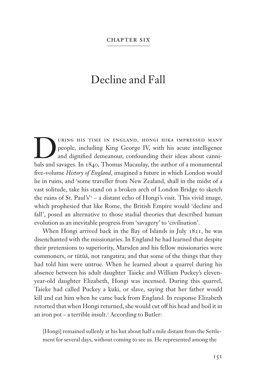### Decline and Fall

DRING HIS TIME IN ENGLAND, HONGI HIKA IMPRESSED MANY<br>people, including King George IV, with his acute intelligence<br>and dignified demeanour, confounding their ideas about canni-<br>bels and savages. In 1840, Thomas Macaulay, t people, including King George IV, with his acute intelligence and dignified demeanour, confounding their ideas about cannibals and savages. In 1840, Thomas Macaulay, the author of a monumental five-volume *History of England*, imagined a future in which London would lie in ruins, and 'some traveller from New Zealand, shall in the midst of a vast solitude, take his stand on a broken arch of London Bridge to sketch the ruins of St. Paul's'1 – a distant echo of Hongi's visit. This vivid image, which prophesied that like Rome, the British Empire would 'decline and fall', posed an alternative to those stadial theories that described human evolution as an inevitable progress from 'savagery' to 'civilisation'.

When Hongi arrived back in the Bay of Islands in July 1821, he was disenchanted with the missionaries. In England he had learned that despite their pretensions to superiority, Marsden and his fellow missionaries were commoners, or tūtūā, not rangatira; and that some of the things that they had told him were untrue. When he learned about a quarrel during his absence between his adult daughter Taieke and William Puckey's elevenyear-old daughter Elizabeth, Hongi was incensed. During this quarrel, Taieke had called Puckey a kuki, or slave, saying that her father would kill and eat him when he came back from England. In response Elizabeth retorted that when Hongi returned, she would cut off his head and boil it in an iron pot – a terrible insult.<sup>2</sup> According to Butler:

[Hongi] remained sullenly at his hut about half a mile distant from the Settlement for several days, without coming to see us. He represented among the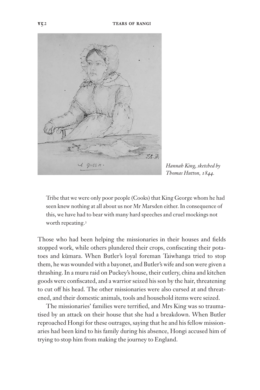

*Hannah King, sketched by Thomas Hutton, 1844.*

Tribe that we were only poor people (Cooks) that King George whom he had seen knew nothing at all about us nor Mr Marsden either. In consequence of this, we have had to bear with many hard speeches and cruel mockings not worth repeating.3

Those who had been helping the missionaries in their houses and fields stopped work, while others plundered their crops, confiscating their potatoes and kūmara. When Butler's loyal foreman Taiwhanga tried to stop them, he was wounded with a bayonet, and Butler's wife and son were given a thrashing. In a muru raid on Puckey's house, their cutlery, china and kitchen goods were confiscated, and a warrior seized his son by the hair, threatening to cut off his head. The other missionaries were also cursed at and threatened, and their domestic animals, tools and household items were seized.

The missionaries' families were terrified, and Mrs King was so traumatised by an attack on their house that she had a breakdown. When Butler reproached Hongi for these outrages, saying that he and his fellow missionaries had been kind to his family during his absence, Hongi accused him of trying to stop him from making the journey to England.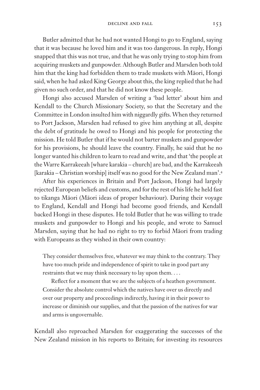Butler admitted that he had not wanted Hongi to go to England, saying that it was because he loved him and it was too dangerous. In reply, Hongi snapped that this was not true, and that he was only trying to stop him from acquiring muskets and gunpowder. Although Butler and Marsden both told him that the king had forbidden them to trade muskets with Māori, Hongi said, when he had asked King George about this, the king replied that he had given no such order, and that he did not know these people.

Hongi also accused Marsden of writing a 'bad letter' about him and Kendall to the Church Missionary Society, so that the Secretary and the Committee in London insulted him with niggardly gifts. When they returned to Port Jackson, Marsden had refused to give him anything at all, despite the debt of gratitude he owed to Hongi and his people for protecting the mission. He told Butler that if he would not barter muskets and gunpowder for his provisions, he should leave the country. Finally, he said that he no longer wanted his children to learn to read and write, and that 'the people at the Warre Karrakeeah [whare karakia – church] are bad, and the Karrakeeah [karakia *–* Christian worship] itself was no good for the New Zealand man'.4

After his experiences in Britain and Port Jackson, Hongi had largely rejected European beliefs and customs, and for the rest of his life he held fast to tikanga Māori (Māori ideas of proper behaviour). During their voyage to England, Kendall and Hongi had become good friends, and Kendall backed Hongi in these disputes. He told Butler that he was willing to trade muskets and gunpowder to Hongi and his people, and wrote to Samuel Marsden, saying that he had no right to try to forbid Māori from trading with Europeans as they wished in their own country:

They consider themselves free, whatever we may think to the contrary. They have too much pride and independence of spirit to take in good part any restraints that we may think necessary to lay upon them. . . .

Reflect for a moment that we are the subjects of a heathen government. Consider the absolute control which the natives have over us directly and over our property and proceedings indirectly, having it in their power to increase or diminish our supplies, and that the passion of the natives for war and arms is ungovernable.

Kendall also reproached Marsden for exaggerating the successes of the New Zealand mission in his reports to Britain; for investing its resources